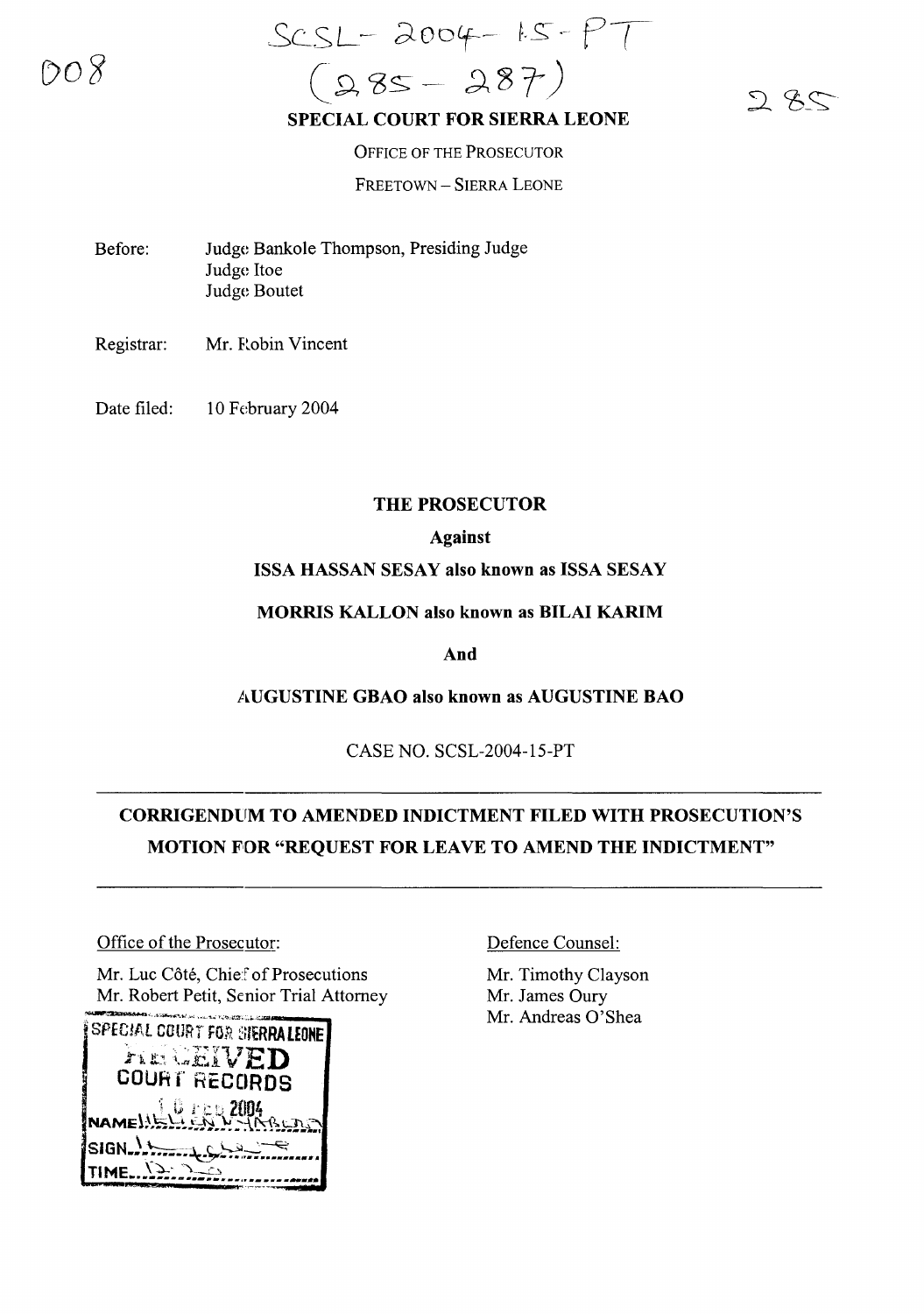nn x

SCSL-2004-15-PT  $(985 - 287)$ 

 $285$ 

#### **SPECIAL COURT FOR SIERRA LEONE**

OFFICE OF THE PROSECUTOR FREETOWN - SIERRA LEONE

- Before: Judge Bankole Thompson, Presiding Judge Judge Itoe Judge Boutet
- Registrar: Mr. Robin Vincent
- Date filed: 10 February 2004

### **THE PROSECUTOR**

### **Against**

#### **ISSA HASSAN SESAY also known as ISSA SESAY**

**MORRIS KALLON also known as BILAI KARIM**

**And**

### **AUGUSTINE GBAO also known as AUGUSTINE BAO**

CASE NO. SCSL-2004-15-PT

# **CORRIGENDUM TO AMENDED INDICTMENT FILED WITH PROSECUTION'S MOTION FOR "REQUEST FOR LEAVE TO AMEND THE INDICTMENT"**

### Office of the Prosecutor:

Mr. Luc Côté, Chief of Prosecutions Mr. Robert Petit, Senior Trial Attorney



### Defence Counsel:

Mr. Timothy Clayson Mr. James Oury Mr. Andreas 0'Shea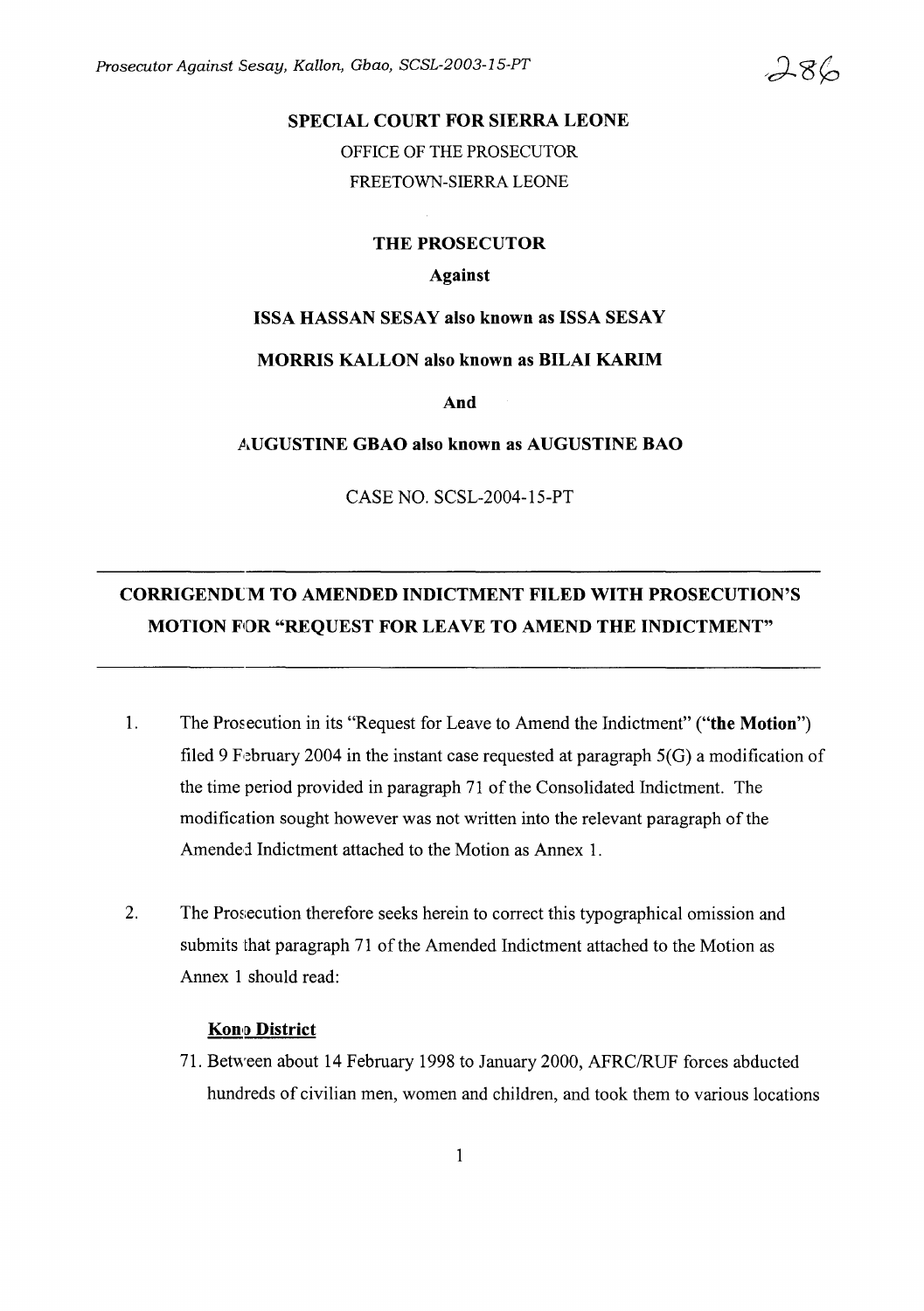Prosecutor Against Sesay, Kallon, Gbao, SCSL-2003-15-PT

#### **SPECIAL COURT FOR SIERRA LEONE**

OFFICE OF THE PROSECUTOR FREETOWN-SIERRA LEONE

**THE PROSECUTOR**

#### **Against**

#### **ISSA HASSAN SESAY also known as ISSA SESAY**

#### **MORRIS KALLON also known as BILAI KARIM**

**And**

**AUGUSTINE GBAO also known as AUGUSTINE BAO**

CASE NO. SCSL-2004-15-PT

# **CORRIGENDlM TO AMENDED INDICTMENT FILED WITH PROSECUTION'S MOTION FOR "REQUEST FOR LEAVE TO AMEND THE INDICTMENT"**

- 1. The Prosecution in its "Request for Leave to Amend the Indictment" **("the Motion")** filed 9 February 2004 in the instant case requested at paragraph  $5(G)$  a modification of the time period provided in paragraph 71 of the Consolidated Indictment. The modification sought however was not written into the relevant paragraph of the Amended Indictment attached to the Motion as Annex 1.
- 2. The Prosecution therefore seeks herein to correct this typographical omission and submits that paragraph 71 of the Amended Indictment attached to the Motion as Annex 1 should read:

## Kon, [) **District**

71. Between about 14 February 1998 to January 2000, AFRC/RUF forces abducted hundreds of civilian men, women and children, and took them to various locations